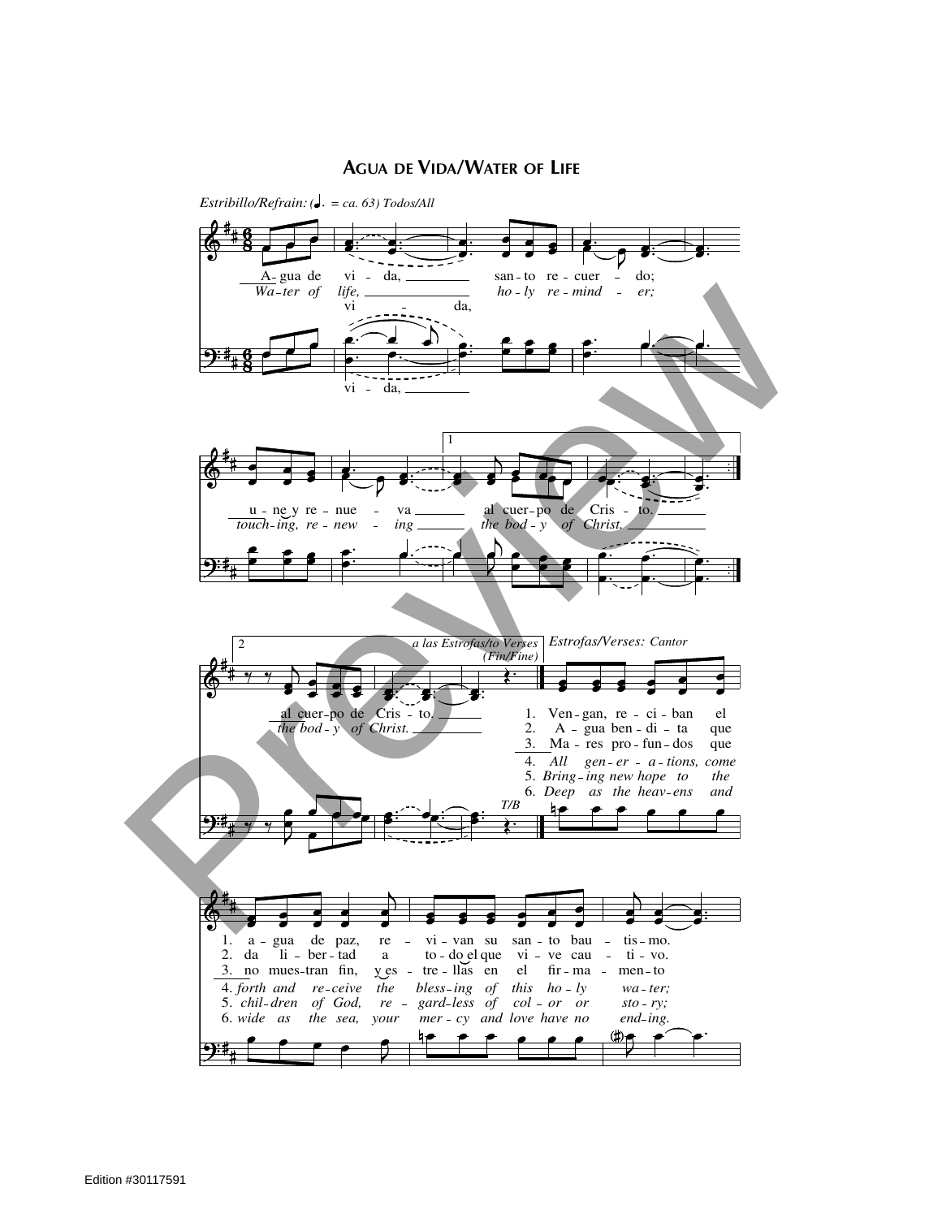## **AGUA DE VIDA/WATER OF LIFE**